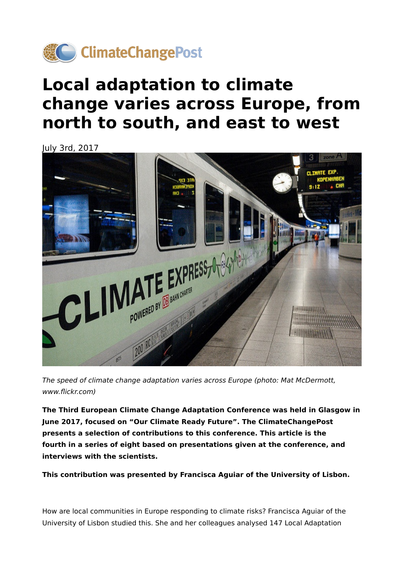

## **Local adaptation to climate change varies across Europe, from north to south, and east to west**

July 3rd, 2017



The speed of climate change adaptation varies across Europe (photo: Mat McDermott, www.flickr.com)

**The Third European Climate Change Adaptation Conference was held in Glasgow in June 2017, focused on "Our Climate Ready Future". The ClimateChangePost presents a selection of contributions to this conference. This article is the fourth in a series of eight based on presentations given at the conference, and interviews with the scientists.**

**This contribution was presented by Francisca Aguiar of the University of Lisbon.**

How are local communities in Europe responding to climate risks? Francisca Aguiar of the University of Lisbon studied this. She and her colleagues analysed 147 Local Adaptation